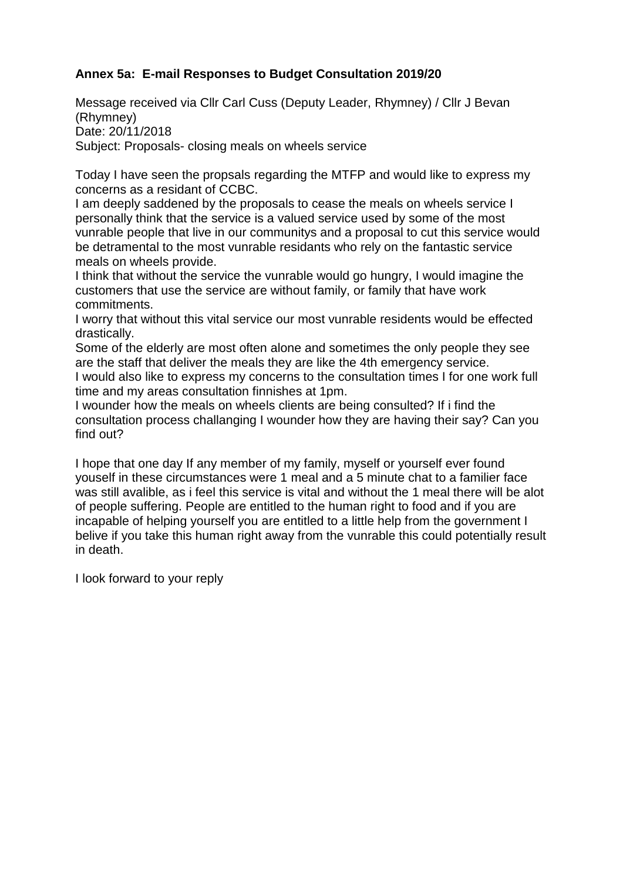## **Annex 5a: E-mail Responses to Budget Consultation 2019/20**

Message received via Cllr Carl Cuss (Deputy Leader, Rhymney) / Cllr J Bevan (Rhymney) Date: 20/11/2018 Subject: Proposals- closing meals on wheels service

Today I have seen the propsals regarding the MTFP and would like to express my concerns as a residant of CCBC.

I am deeply saddened by the proposals to cease the meals on wheels service I personally think that the service is a valued service used by some of the most vunrable people that live in our communitys and a proposal to cut this service would be detramental to the most vunrable residants who rely on the fantastic service meals on wheels provide.

I think that without the service the vunrable would go hungry, I would imagine the customers that use the service are without family, or family that have work commitments.

I worry that without this vital service our most vunrable residents would be effected drastically.

Some of the elderly are most often alone and sometimes the only people they see are the staff that deliver the meals they are like the 4th emergency service. I would also like to express my concerns to the consultation times I for one work full time and my areas consultation finnishes at 1pm.

I wounder how the meals on wheels clients are being consulted? If i find the consultation process challanging I wounder how they are having their say? Can you find out?

I hope that one day If any member of my family, myself or yourself ever found youself in these circumstances were 1 meal and a 5 minute chat to a familier face was still avalible, as i feel this service is vital and without the 1 meal there will be alot of people suffering. People are entitled to the human right to food and if you are incapable of helping yourself you are entitled to a little help from the government I belive if you take this human right away from the vunrable this could potentially result in death.

I look forward to your reply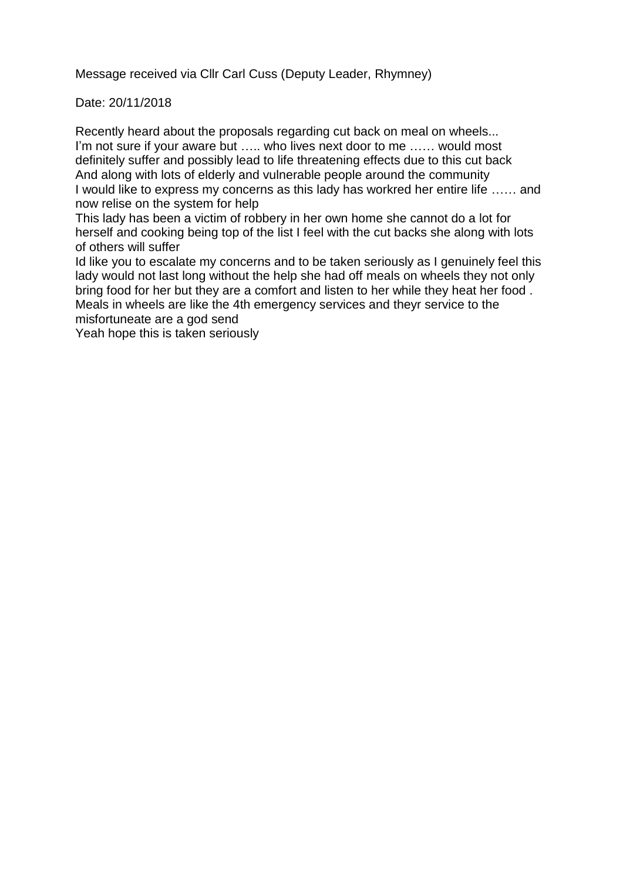Message received via Cllr Carl Cuss (Deputy Leader, Rhymney)

Date: 20/11/2018

Recently heard about the proposals regarding cut back on meal on wheels... I'm not sure if your aware but ..... who lives next door to me ...... would most definitely suffer and possibly lead to life threatening effects due to this cut back And along with lots of elderly and vulnerable people around the community I would like to express my concerns as this lady has workred her entire life …… and now relise on the system for help

This lady has been a victim of robbery in her own home she cannot do a lot for herself and cooking being top of the list I feel with the cut backs she along with lots of others will suffer

Id like you to escalate my concerns and to be taken seriously as I genuinely feel this lady would not last long without the help she had off meals on wheels they not only bring food for her but they are a comfort and listen to her while they heat her food . Meals in wheels are like the 4th emergency services and theyr service to the misfortuneate are a god send

Yeah hope this is taken seriously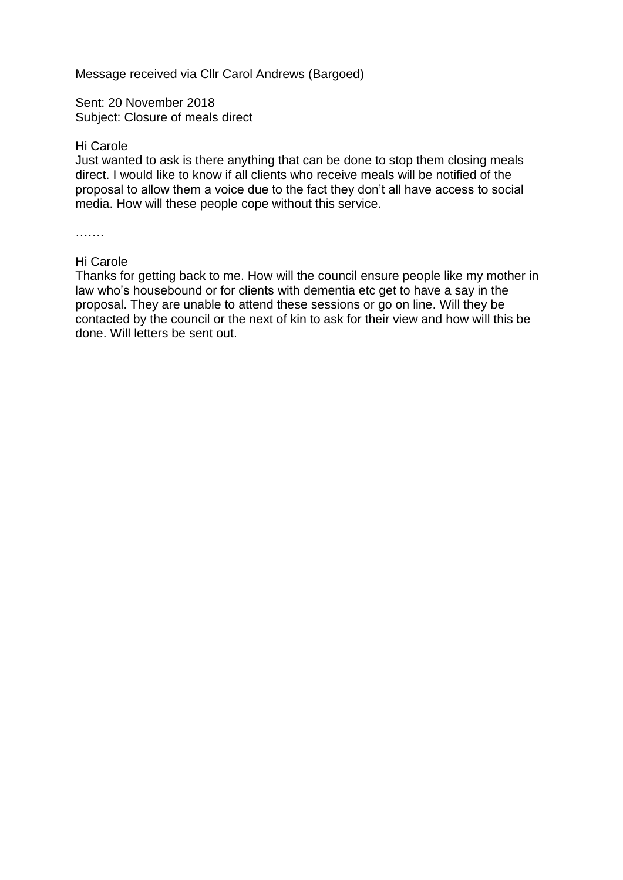Message received via Cllr Carol Andrews (Bargoed)

Sent: 20 November 2018 Subject: Closure of meals direct

## Hi Carole

Just wanted to ask is there anything that can be done to stop them closing meals direct. I would like to know if all clients who receive meals will be notified of the proposal to allow them a voice due to the fact they don't all have access to social media. How will these people cope without this service.

……

## Hi Carole

Thanks for getting back to me. How will the council ensure people like my mother in law who's housebound or for clients with dementia etc get to have a say in the proposal. They are unable to attend these sessions or go on line. Will they be contacted by the council or the next of kin to ask for their view and how will this be done. Will letters be sent out.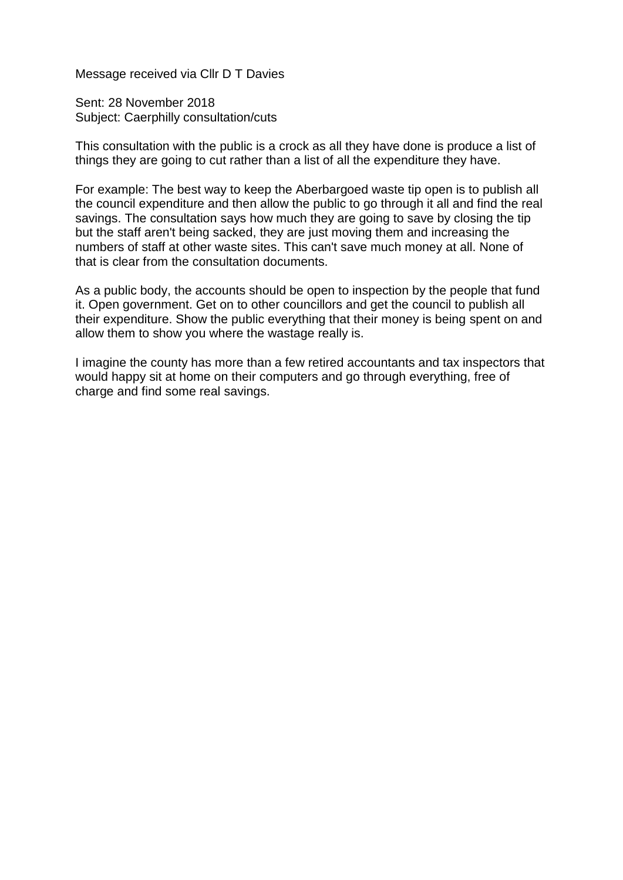Message received via Cllr D T Davies

Sent: 28 November 2018 Subject: Caerphilly consultation/cuts

This consultation with the public is a crock as all they have done is produce a list of things they are going to cut rather than a list of all the expenditure they have.

For example: The best way to keep the Aberbargoed waste tip open is to publish all the council expenditure and then allow the public to go through it all and find the real savings. The consultation says how much they are going to save by closing the tip but the staff aren't being sacked, they are just moving them and increasing the numbers of staff at other waste sites. This can't save much money at all. None of that is clear from the consultation documents.

As a public body, the accounts should be open to inspection by the people that fund it. Open government. Get on to other councillors and get the council to publish all their expenditure. Show the public everything that their money is being spent on and allow them to show you where the wastage really is.

I imagine the county has more than a few retired accountants and tax inspectors that would happy sit at home on their computers and go through everything, free of charge and find some real savings.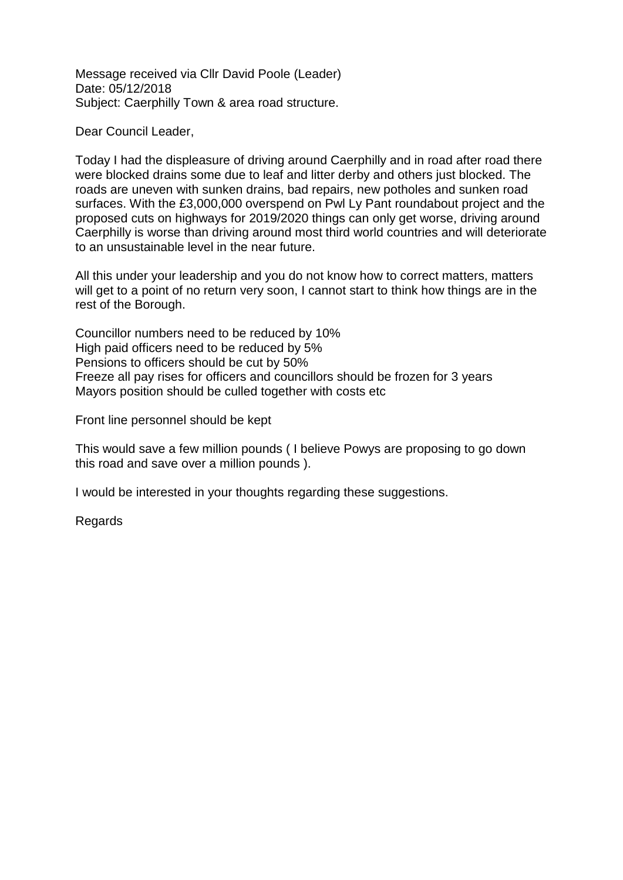Message received via Cllr David Poole (Leader) Date: 05/12/2018 Subject: Caerphilly Town & area road structure.

Dear Council Leader,

Today I had the displeasure of driving around Caerphilly and in road after road there were blocked drains some due to leaf and litter derby and others just blocked. The roads are uneven with sunken drains, bad repairs, new potholes and sunken road surfaces. With the £3,000,000 overspend on Pwl Ly Pant roundabout project and the proposed cuts on highways for 2019/2020 things can only get worse, driving around Caerphilly is worse than driving around most third world countries and will deteriorate to an unsustainable level in the near future.

All this under your leadership and you do not know how to correct matters, matters will get to a point of no return very soon, I cannot start to think how things are in the rest of the Borough.

Councillor numbers need to be reduced by 10% High paid officers need to be reduced by 5% Pensions to officers should be cut by 50% Freeze all pay rises for officers and councillors should be frozen for 3 years Mayors position should be culled together with costs etc

Front line personnel should be kept

This would save a few million pounds ( I believe Powys are proposing to go down this road and save over a million pounds ).

I would be interested in your thoughts regarding these suggestions.

**Regards**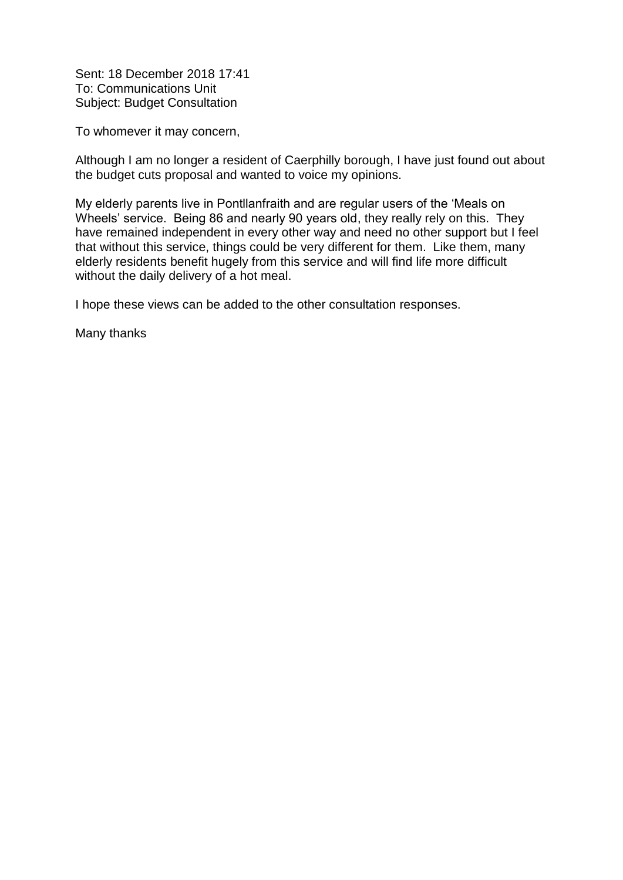Sent: 18 December 2018 17:41 To: Communications Unit Subject: Budget Consultation

To whomever it may concern,

Although I am no longer a resident of Caerphilly borough, I have just found out about the budget cuts proposal and wanted to voice my opinions.

My elderly parents live in Pontllanfraith and are regular users of the 'Meals on Wheels' service. Being 86 and nearly 90 years old, they really rely on this. They have remained independent in every other way and need no other support but I feel that without this service, things could be very different for them. Like them, many elderly residents benefit hugely from this service and will find life more difficult without the daily delivery of a hot meal.

I hope these views can be added to the other consultation responses.

Many thanks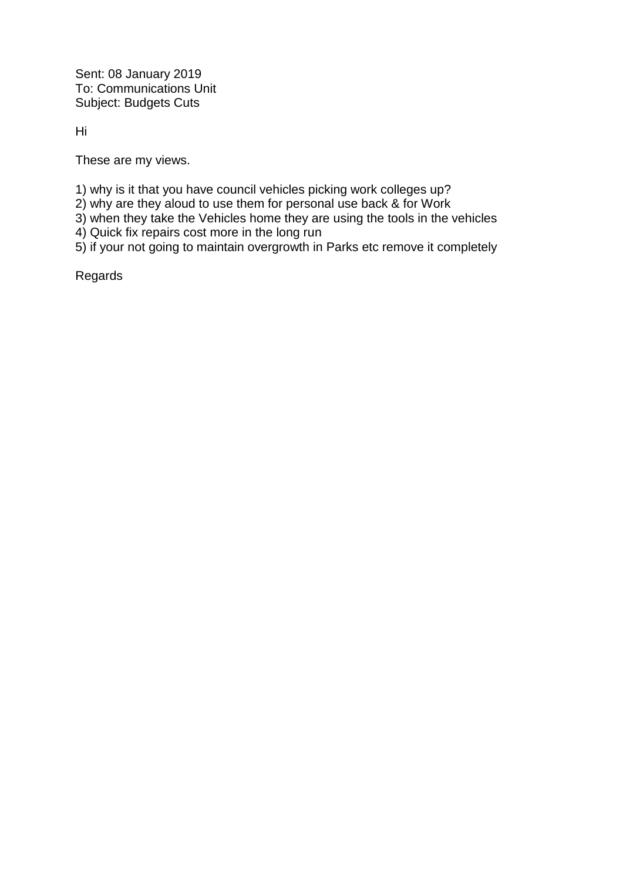Sent: 08 January 2019 To: Communications Unit Subject: Budgets Cuts

Hi

These are my views.

1) why is it that you have council vehicles picking work colleges up?

2) why are they aloud to use them for personal use back & for Work

3) when they take the Vehicles home they are using the tools in the vehicles

4) Quick fix repairs cost more in the long run

5) if your not going to maintain overgrowth in Parks etc remove it completely

Regards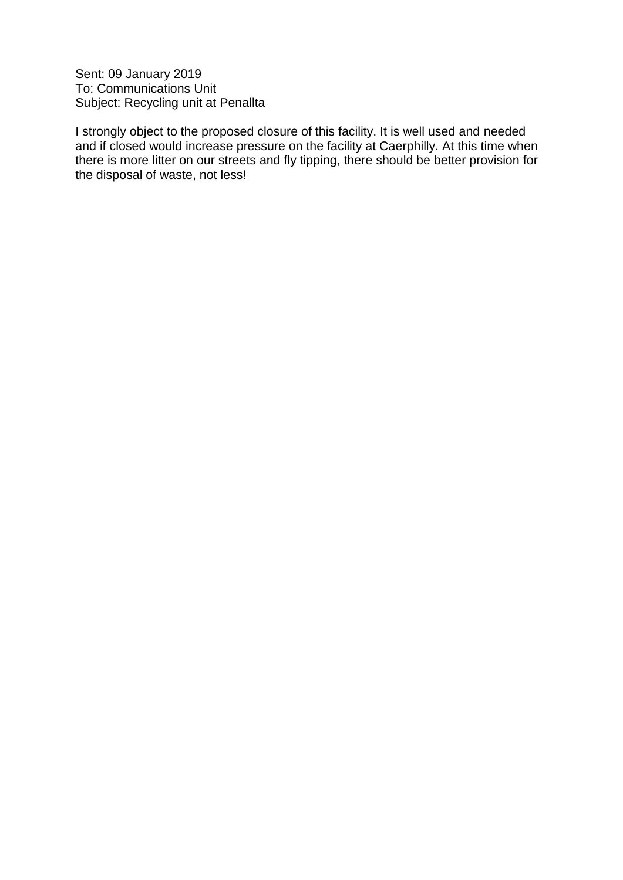Sent: 09 January 2019 To: Communications Unit Subject: Recycling unit at Penallta

I strongly object to the proposed closure of this facility. It is well used and needed and if closed would increase pressure on the facility at Caerphilly. At this time when there is more litter on our streets and fly tipping, there should be better provision for the disposal of waste, not less!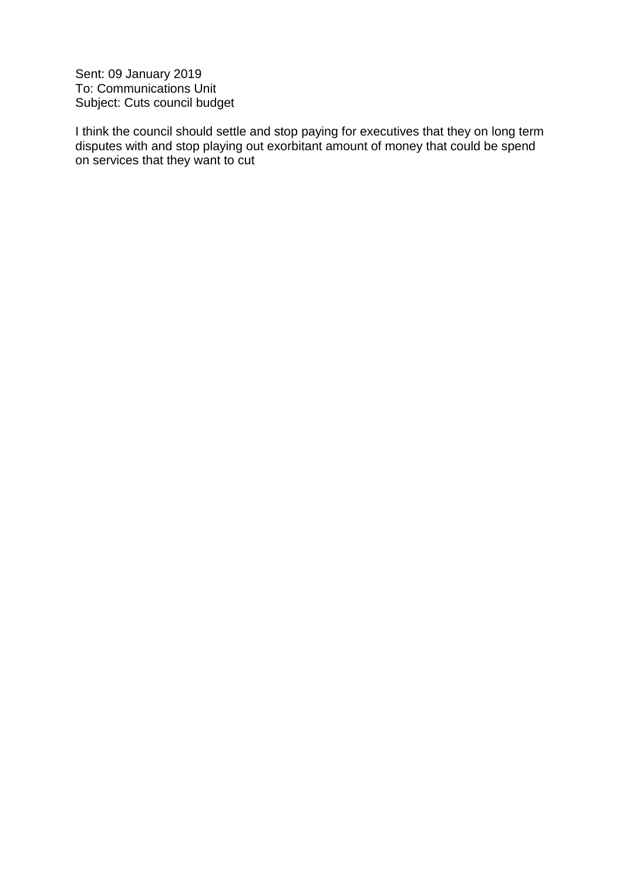Sent: 09 January 2019 To: Communications Unit Subject: Cuts council budget

I think the council should settle and stop paying for executives that they on long term disputes with and stop playing out exorbitant amount of money that could be spend on services that they want to cut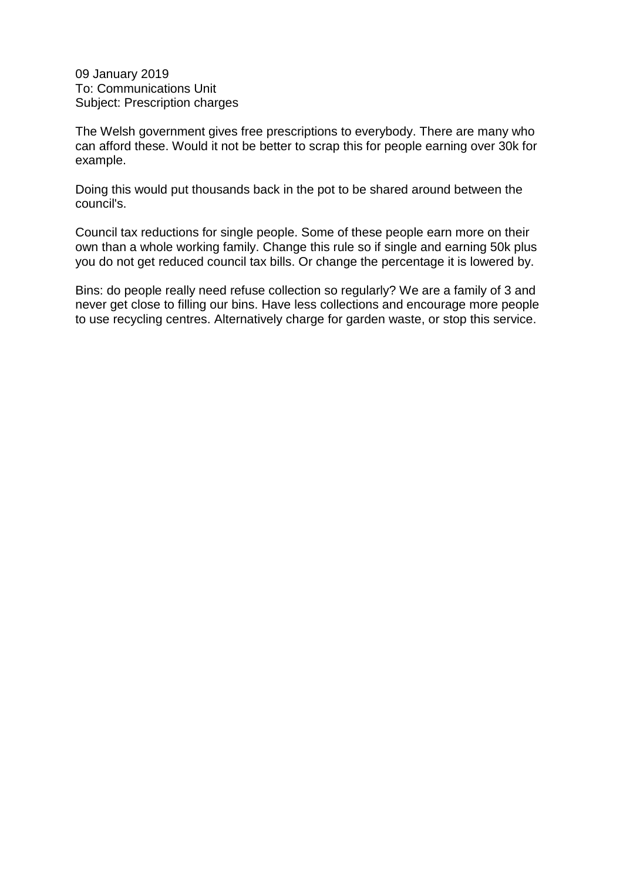09 January 2019 To: Communications Unit Subject: Prescription charges

The Welsh government gives free prescriptions to everybody. There are many who can afford these. Would it not be better to scrap this for people earning over 30k for example.

Doing this would put thousands back in the pot to be shared around between the council's.

Council tax reductions for single people. Some of these people earn more on their own than a whole working family. Change this rule so if single and earning 50k plus you do not get reduced council tax bills. Or change the percentage it is lowered by.

Bins: do people really need refuse collection so regularly? We are a family of 3 and never get close to filling our bins. Have less collections and encourage more people to use recycling centres. Alternatively charge for garden waste, or stop this service.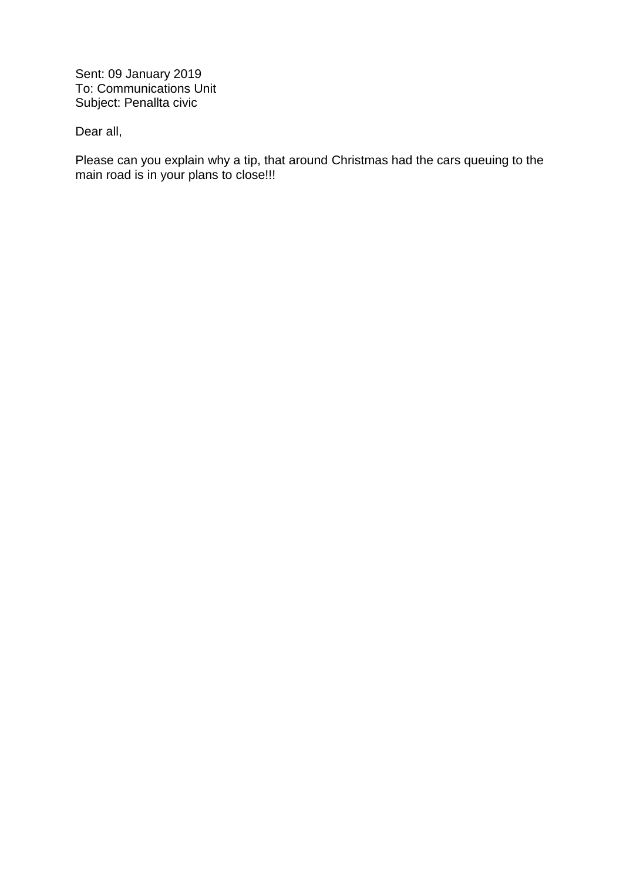Sent: 09 January 2019 To: Communications Unit Subject: Penallta civic

Dear all,

Please can you explain why a tip, that around Christmas had the cars queuing to the main road is in your plans to close!!!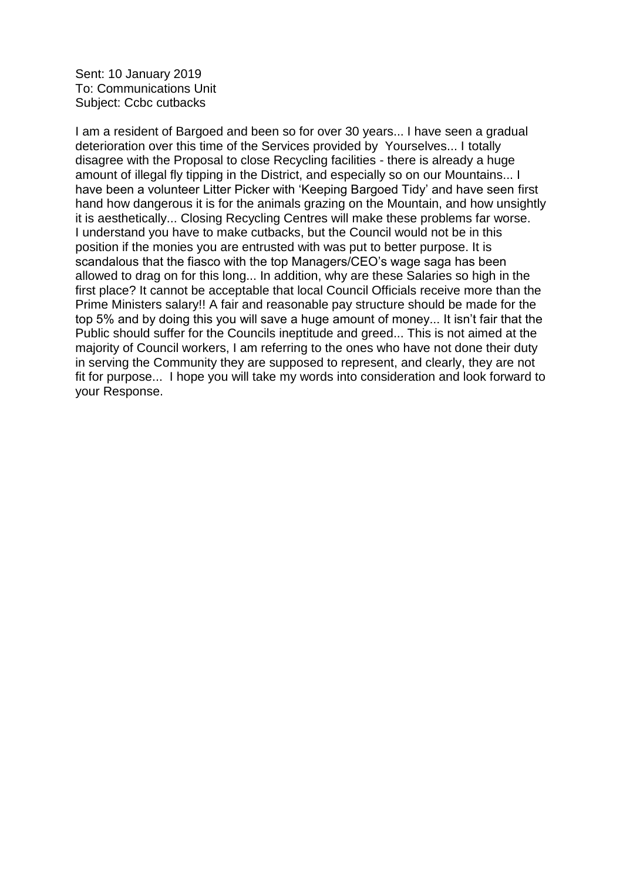Sent: 10 January 2019 To: Communications Unit Subject: Ccbc cutbacks

I am a resident of Bargoed and been so for over 30 years... I have seen a gradual deterioration over this time of the Services provided by Yourselves... I totally disagree with the Proposal to close Recycling facilities - there is already a huge amount of illegal fly tipping in the District, and especially so on our Mountains... I have been a volunteer Litter Picker with 'Keeping Bargoed Tidy' and have seen first hand how dangerous it is for the animals grazing on the Mountain, and how unsightly it is aesthetically... Closing Recycling Centres will make these problems far worse. I understand you have to make cutbacks, but the Council would not be in this position if the monies you are entrusted with was put to better purpose. It is scandalous that the fiasco with the top Managers/CEO's wage saga has been allowed to drag on for this long... In addition, why are these Salaries so high in the first place? It cannot be acceptable that local Council Officials receive more than the Prime Ministers salary!! A fair and reasonable pay structure should be made for the top 5% and by doing this you will save a huge amount of money... It isn't fair that the Public should suffer for the Councils ineptitude and greed... This is not aimed at the majority of Council workers, I am referring to the ones who have not done their duty in serving the Community they are supposed to represent, and clearly, they are not fit for purpose... I hope you will take my words into consideration and look forward to your Response.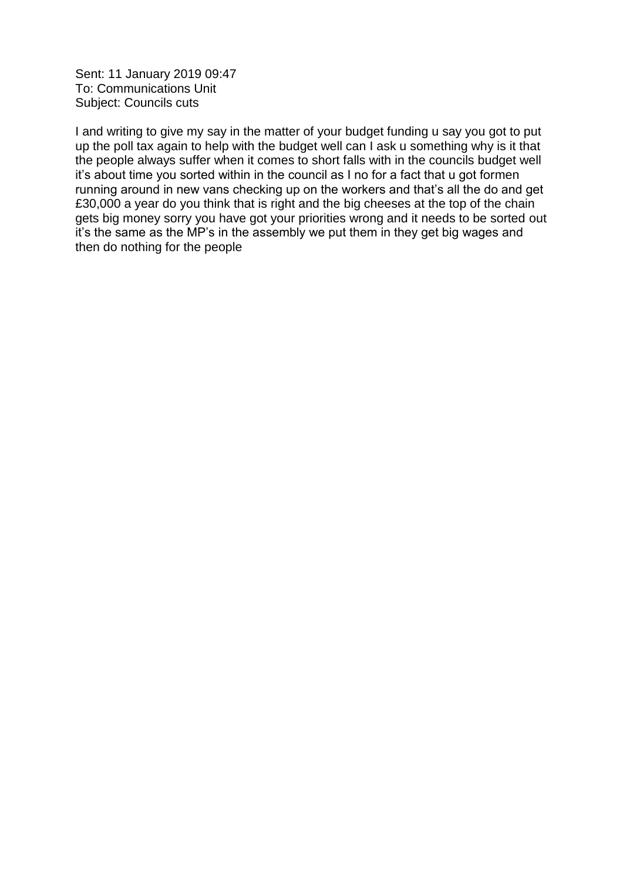Sent: 11 January 2019 09:47 To: Communications Unit Subject: Councils cuts

I and writing to give my say in the matter of your budget funding u say you got to put up the poll tax again to help with the budget well can I ask u something why is it that the people always suffer when it comes to short falls with in the councils budget well it's about time you sorted within in the council as I no for a fact that u got formen running around in new vans checking up on the workers and that's all the do and get £30,000 a year do you think that is right and the big cheeses at the top of the chain gets big money sorry you have got your priorities wrong and it needs to be sorted out it's the same as the MP's in the assembly we put them in they get big wages and then do nothing for the people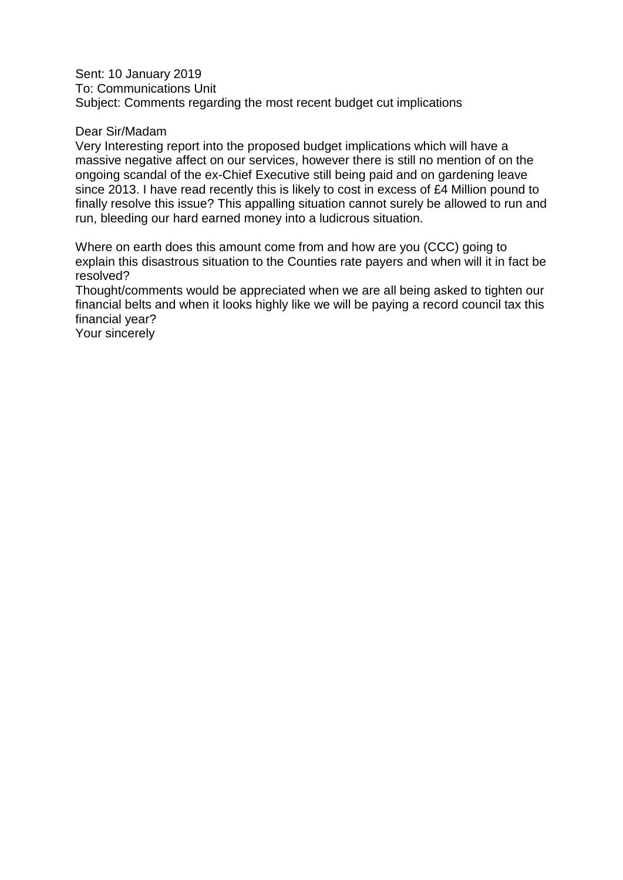Sent: 10 January 2019 To: Communications Unit Subject: Comments regarding the most recent budget cut implications

## Dear Sir/Madam

Very Interesting report into the proposed budget implications which will have a massive negative affect on our services, however there is still no mention of on the ongoing scandal of the ex-Chief Executive still being paid and on gardening leave since 2013. I have read recently this is likely to cost in excess of £4 Million pound to finally resolve this issue? This appalling situation cannot surely be allowed to run and run, bleeding our hard earned money into a ludicrous situation.

Where on earth does this amount come from and how are you (CCC) going to explain this disastrous situation to the Counties rate payers and when will it in fact be resolved?

Thought/comments would be appreciated when we are all being asked to tighten our financial belts and when it looks highly like we will be paying a record council tax this financial year?

Your sincerely